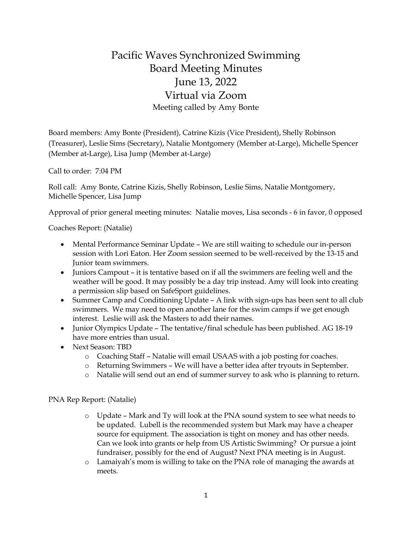## Pacific Waves Synchronized Swimming Board Meeting Minutes June 13, 2022 Virtual via Zoom Meeting called by Amy Bonte

Board members: Amy Bonte (President), Catrine Kizis (Vice President), Shelly Robinson (Treasurer), Leslie Sims (Secretary), Natalie Montgomery (Member at-Large), Michelle Spencer (Member at-Large), Lisa Jump (Member at-Large)

Call to order: 7:04 PM

Roll call: Amy Bonte, Catrine Kizis, Shelly Robinson, Leslie Sims, Natalie Montgomery, Michelle Spencer, Lisa Jump

Approval of prior general meeting minutes: Natalie moves, Lisa seconds - 6 in favor, 0 opposed

Coaches Report: (Natalie)

- Mental Performance Seminar Update We are still waiting to schedule our in-person session with Lori Eaton. Her Zoom session seemed to be well-received by the 13-15 and Junior team swimmers.
- Juniors Campout it is tentative based on if all the swimmers are feeling well and the weather will be good. It may possibly be a day trip instead. Amy will look into creating a permission slip based on SafeSport guidelines.
- Summer Camp and Conditioning Update A link with sign-ups has been sent to all club swimmers. We may need to open another lane for the swim camps if we get enough interest. Leslie will ask the Masters to add their names.
- Junior Olympics Update The tentative/final schedule has been published. AG 18-19 have more entries than usual.
- Next Season: TBD
	- o Coaching Staff Natalie will email USAAS with a job posting for coaches.
	- o Returning Swimmers We will have a better idea after tryouts in September.
	- o Natalie will send out an end of summer survey to ask who is planning to return.

PNA Rep Report: (Natalie)

- o Update Mark and Ty will look at the PNA sound system to see what needs to be updated. Lubell is the recommended system but Mark may have a cheaper source for equipment. The association is tight on money and has other needs. Can we look into grants or help from US Artistic Swimming? Or pursue a joint fundraiser, possibly for the end of August? Next PNA meeting is in August.
- o Lamaiyah's mom is willing to take on the PNA role of managing the awards at meets.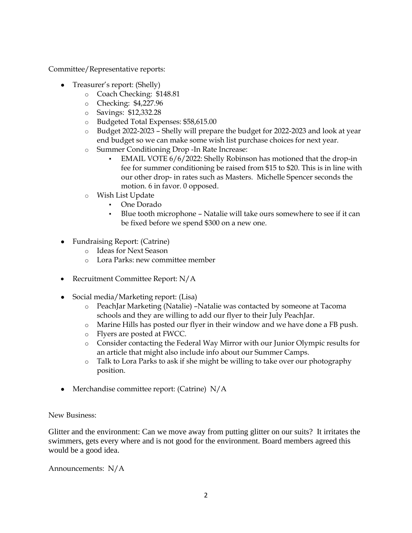Committee/Representative reports:

- Treasurer's report: (Shelly)
	- o Coach Checking: \$148.81
	- o Checking: \$4,227.96
	- o Savings: \$12,332.28
	- o Budgeted Total Expenses: \$58,615.00
	- o Budget 2022-2023 Shelly will prepare the budget for 2022-2023 and look at year end budget so we can make some wish list purchase choices for next year.
	- o Summer Conditioning Drop -In Rate Increase:
		- EMAIL VOTE 6/6/2022: Shelly Robinson has motioned that the drop-in fee for summer conditioning be raised from \$15 to \$20. This is in line with our other drop- in rates such as Masters. Michelle Spencer seconds the motion. 6 in favor. 0 opposed.
	- o Wish List Update
		- One Dorado
		- Blue tooth microphone Natalie will take ours somewhere to see if it can be fixed before we spend \$300 on a new one.
- Fundraising Report: (Catrine)
	- o Ideas for Next Season
	- o Lora Parks: new committee member
- Recruitment Committee Report: N/A
- Social media/Marketing report: (Lisa)
	- o PeachJar Marketing (Natalie) –Natalie was contacted by someone at Tacoma schools and they are willing to add our flyer to their July PeachJar.
	- o Marine Hills has posted our flyer in their window and we have done a FB push.
	- o Flyers are posted at FWCC.
	- o Consider contacting the Federal Way Mirror with our Junior Olympic results for an article that might also include info about our Summer Camps.
	- o Talk to Lora Parks to ask if she might be willing to take over our photography position.
- Merchandise committee report: (Catrine)  $N/A$

New Business:

Glitter and the environment: Can we move away from putting glitter on our suits? It irritates the swimmers, gets every where and is not good for the environment. Board members agreed this would be a good idea.

Announcements: N/A